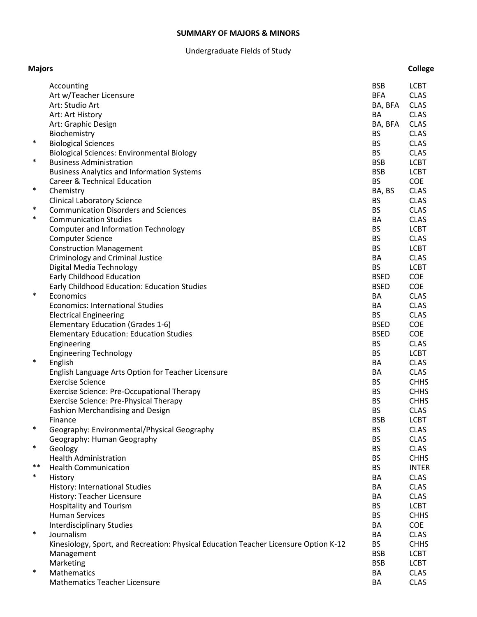## **SUMMARY OF MAJORS & MINORS**

## Undergraduate Fields of Study

| <b>Majors</b> |                                                                                      |             | College      |
|---------------|--------------------------------------------------------------------------------------|-------------|--------------|
|               | Accounting                                                                           | <b>BSB</b>  | <b>LCBT</b>  |
|               | Art w/Teacher Licensure                                                              | <b>BFA</b>  | <b>CLAS</b>  |
|               | Art: Studio Art                                                                      | BA, BFA     | <b>CLAS</b>  |
|               | Art: Art History                                                                     | BA          | <b>CLAS</b>  |
|               | Art: Graphic Design                                                                  | BA, BFA     | <b>CLAS</b>  |
|               | Biochemistry                                                                         | <b>BS</b>   | <b>CLAS</b>  |
| $\ast$        | <b>Biological Sciences</b>                                                           | <b>BS</b>   | <b>CLAS</b>  |
|               | <b>Biological Sciences: Environmental Biology</b>                                    | <b>BS</b>   | <b>CLAS</b>  |
| $\ast$        | <b>Business Administration</b>                                                       | <b>BSB</b>  | <b>LCBT</b>  |
|               | <b>Business Analytics and Information Systems</b>                                    | <b>BSB</b>  | <b>LCBT</b>  |
|               | <b>Career &amp; Technical Education</b>                                              | <b>BS</b>   | <b>COE</b>   |
| $\ast$        | Chemistry                                                                            | BA, BS      | <b>CLAS</b>  |
|               | <b>Clinical Laboratory Science</b>                                                   | <b>BS</b>   | <b>CLAS</b>  |
| $\ast$        | <b>Communication Disorders and Sciences</b>                                          | <b>BS</b>   | <b>CLAS</b>  |
| $\ast$        | <b>Communication Studies</b>                                                         | BA          | <b>CLAS</b>  |
|               | <b>Computer and Information Technology</b>                                           | <b>BS</b>   | <b>LCBT</b>  |
|               | <b>Computer Science</b>                                                              | <b>BS</b>   | <b>CLAS</b>  |
|               | <b>Construction Management</b>                                                       | <b>BS</b>   | <b>LCBT</b>  |
|               | Criminology and Criminal Justice                                                     | BA          | <b>CLAS</b>  |
|               | Digital Media Technology                                                             | <b>BS</b>   | <b>LCBT</b>  |
|               | Early Childhood Education                                                            | <b>BSED</b> | <b>COE</b>   |
|               | Early Childhood Education: Education Studies                                         | <b>BSED</b> | <b>COE</b>   |
| $\ast$        | Economics                                                                            | BA          | <b>CLAS</b>  |
|               | <b>Economics: International Studies</b>                                              | BA          | <b>CLAS</b>  |
|               | <b>Electrical Engineering</b>                                                        | <b>BS</b>   | <b>CLAS</b>  |
|               | Elementary Education (Grades 1-6)                                                    | <b>BSED</b> | <b>COE</b>   |
|               | <b>Elementary Education: Education Studies</b>                                       | <b>BSED</b> | <b>COE</b>   |
|               | Engineering                                                                          | <b>BS</b>   | <b>CLAS</b>  |
|               | <b>Engineering Technology</b>                                                        | <b>BS</b>   | <b>LCBT</b>  |
| $\ast$        | English                                                                              | BA          | <b>CLAS</b>  |
|               | English Language Arts Option for Teacher Licensure                                   | BA          | <b>CLAS</b>  |
|               | <b>Exercise Science</b>                                                              | <b>BS</b>   | <b>CHHS</b>  |
|               | Exercise Science: Pre-Occupational Therapy                                           | <b>BS</b>   | <b>CHHS</b>  |
|               | <b>Exercise Science: Pre-Physical Therapy</b>                                        | <b>BS</b>   | <b>CHHS</b>  |
|               | <b>Fashion Merchandising and Design</b>                                              | <b>BS</b>   | <b>CLAS</b>  |
|               | Finance                                                                              | <b>BSB</b>  | <b>LCBT</b>  |
| $\ast$        | Geography: Environmental/Physical Geography                                          | <b>BS</b>   | <b>CLAS</b>  |
|               | Geography: Human Geography                                                           | <b>BS</b>   | <b>CLAS</b>  |
| $\ast$        | Geology                                                                              | <b>BS</b>   | <b>CLAS</b>  |
|               | <b>Health Administration</b>                                                         | <b>BS</b>   | <b>CHHS</b>  |
| $***$         | <b>Health Communication</b>                                                          | <b>BS</b>   | <b>INTER</b> |
| $\ast$        | History                                                                              | BA          | <b>CLAS</b>  |
|               | History: International Studies                                                       | BA          | <b>CLAS</b>  |
|               | History: Teacher Licensure                                                           | BA          | <b>CLAS</b>  |
|               | <b>Hospitality and Tourism</b>                                                       | <b>BS</b>   | <b>LCBT</b>  |
|               | <b>Human Services</b>                                                                | <b>BS</b>   | <b>CHHS</b>  |
|               | <b>Interdisciplinary Studies</b>                                                     | BA          | <b>COE</b>   |
| $\ast$        | Journalism                                                                           | BA          | <b>CLAS</b>  |
|               | Kinesiology, Sport, and Recreation: Physical Education Teacher Licensure Option K-12 | <b>BS</b>   | <b>CHHS</b>  |
|               | Management                                                                           | <b>BSB</b>  | <b>LCBT</b>  |
|               | Marketing                                                                            | <b>BSB</b>  | <b>LCBT</b>  |
| $\ast$        | Mathematics                                                                          | BA          | <b>CLAS</b>  |
|               | <b>Mathematics Teacher Licensure</b>                                                 | BA          | <b>CLAS</b>  |
|               |                                                                                      |             |              |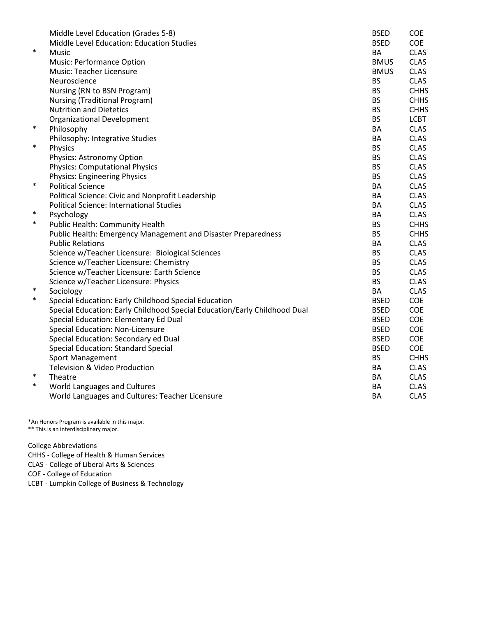|        | Middle Level Education (Grades 5-8)                                       | <b>BSED</b> | <b>COE</b>  |
|--------|---------------------------------------------------------------------------|-------------|-------------|
|        | Middle Level Education: Education Studies                                 | <b>BSED</b> | <b>COE</b>  |
| $\ast$ | Music                                                                     | BA          | <b>CLAS</b> |
|        | <b>Music: Performance Option</b>                                          | <b>BMUS</b> | <b>CLAS</b> |
|        | Music: Teacher Licensure                                                  | <b>BMUS</b> | <b>CLAS</b> |
|        | Neuroscience                                                              | <b>BS</b>   | <b>CLAS</b> |
|        | Nursing (RN to BSN Program)                                               | <b>BS</b>   | <b>CHHS</b> |
|        | <b>Nursing (Traditional Program)</b>                                      | <b>BS</b>   | <b>CHHS</b> |
|        | <b>Nutrition and Dietetics</b>                                            | <b>BS</b>   | <b>CHHS</b> |
|        | <b>Organizational Development</b>                                         | <b>BS</b>   | <b>LCBT</b> |
| $\ast$ | Philosophy                                                                | BA          | <b>CLAS</b> |
|        | Philosophy: Integrative Studies                                           | BA          | <b>CLAS</b> |
| $\ast$ | Physics                                                                   | <b>BS</b>   | <b>CLAS</b> |
|        | <b>Physics: Astronomy Option</b>                                          | <b>BS</b>   | <b>CLAS</b> |
|        | <b>Physics: Computational Physics</b>                                     | <b>BS</b>   | <b>CLAS</b> |
|        | <b>Physics: Engineering Physics</b>                                       | <b>BS</b>   | <b>CLAS</b> |
| $\ast$ | <b>Political Science</b>                                                  | BA          | <b>CLAS</b> |
|        | Political Science: Civic and Nonprofit Leadership                         | BA          | <b>CLAS</b> |
|        | <b>Political Science: International Studies</b>                           | BA          | <b>CLAS</b> |
| $\ast$ | Psychology                                                                | BA          | <b>CLAS</b> |
| $\ast$ | Public Health: Community Health                                           | <b>BS</b>   | <b>CHHS</b> |
|        | Public Health: Emergency Management and Disaster Preparedness             | <b>BS</b>   | <b>CHHS</b> |
|        | <b>Public Relations</b>                                                   | BA          | <b>CLAS</b> |
|        | Science w/Teacher Licensure: Biological Sciences                          | <b>BS</b>   | <b>CLAS</b> |
|        | Science w/Teacher Licensure: Chemistry                                    | <b>BS</b>   | <b>CLAS</b> |
|        | Science w/Teacher Licensure: Earth Science                                | <b>BS</b>   | <b>CLAS</b> |
|        | Science w/Teacher Licensure: Physics                                      | <b>BS</b>   | <b>CLAS</b> |
| $\ast$ | Sociology                                                                 | BA          | <b>CLAS</b> |
| $\ast$ | Special Education: Early Childhood Special Education                      | <b>BSED</b> | <b>COE</b>  |
|        | Special Education: Early Childhood Special Education/Early Childhood Dual | <b>BSED</b> | <b>COE</b>  |
|        | Special Education: Elementary Ed Dual                                     | <b>BSED</b> | <b>COE</b>  |
|        | <b>Special Education: Non-Licensure</b>                                   | <b>BSED</b> | COE         |
|        | Special Education: Secondary ed Dual                                      | <b>BSED</b> | COE         |
|        | <b>Special Education: Standard Special</b>                                | <b>BSED</b> | <b>COE</b>  |
|        | <b>Sport Management</b>                                                   | <b>BS</b>   | <b>CHHS</b> |
|        | Television & Video Production                                             | BA          | <b>CLAS</b> |
| $\ast$ | Theatre                                                                   | BA          | <b>CLAS</b> |
| $\ast$ | World Languages and Cultures                                              | BA          | <b>CLAS</b> |
|        | World Languages and Cultures: Teacher Licensure                           | BA          | <b>CLAS</b> |
|        |                                                                           |             |             |

\*An Honors Program is available in this major. \*\* This is an interdisciplinary major.

College Abbreviations CHHS - College of Health & Human Services CLAS - College of Liberal Arts & Sciences COE - College of Education

LCBT - Lumpkin College of Business & Technology